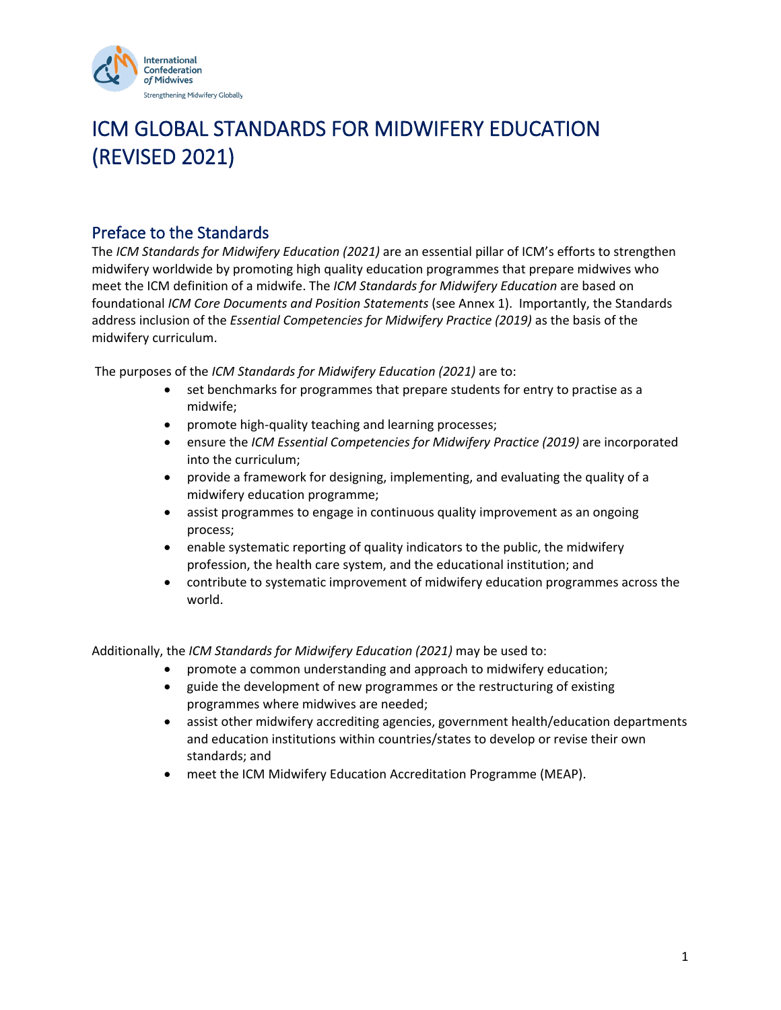

# ICM GLOBAL STANDARDS FOR MIDWIFERY EDUCATION (REVISED 2021)

#### Preface to the Standards

The *ICM Standards for Midwifery Education (2021)* are an essential pillar of ICM's efforts to strengthen midwifery worldwide by promoting high quality education programmes that prepare midwives who meet the ICM definition of a midwife. The *ICM Standards for Midwifery Education* are based on foundational *ICM Core Documents and Position Statements* (see Annex 1). Importantly, the Standards address inclusion of the *Essential Competencies for Midwifery Practice (2019)* as the basis of the midwifery curriculum.

The purposes of the *ICM Standards for Midwifery Education (2021)* are to:

- set benchmarks for programmes that prepare students for entry to practise as a midwife;
- promote high-quality teaching and learning processes;
- ensure the *ICM Essential Competencies for Midwifery Practice (2019)* are incorporated into the curriculum;
- provide a framework for designing, implementing, and evaluating the quality of a midwifery education programme;
- assist programmes to engage in continuous quality improvement as an ongoing process;
- enable systematic reporting of quality indicators to the public, the midwifery profession, the health care system, and the educational institution; and
- contribute to systematic improvement of midwifery education programmes across the world.

Additionally, the *ICM Standards for Midwifery Education (2021)* may be used to:

- promote a common understanding and approach to midwifery education;
- guide the development of new programmes or the restructuring of existing programmes where midwives are needed;
- assist other midwifery accrediting agencies, government health/education departments and education institutions within countries/states to develop or revise their own standards; and
- meet the ICM Midwifery Education Accreditation Programme (MEAP).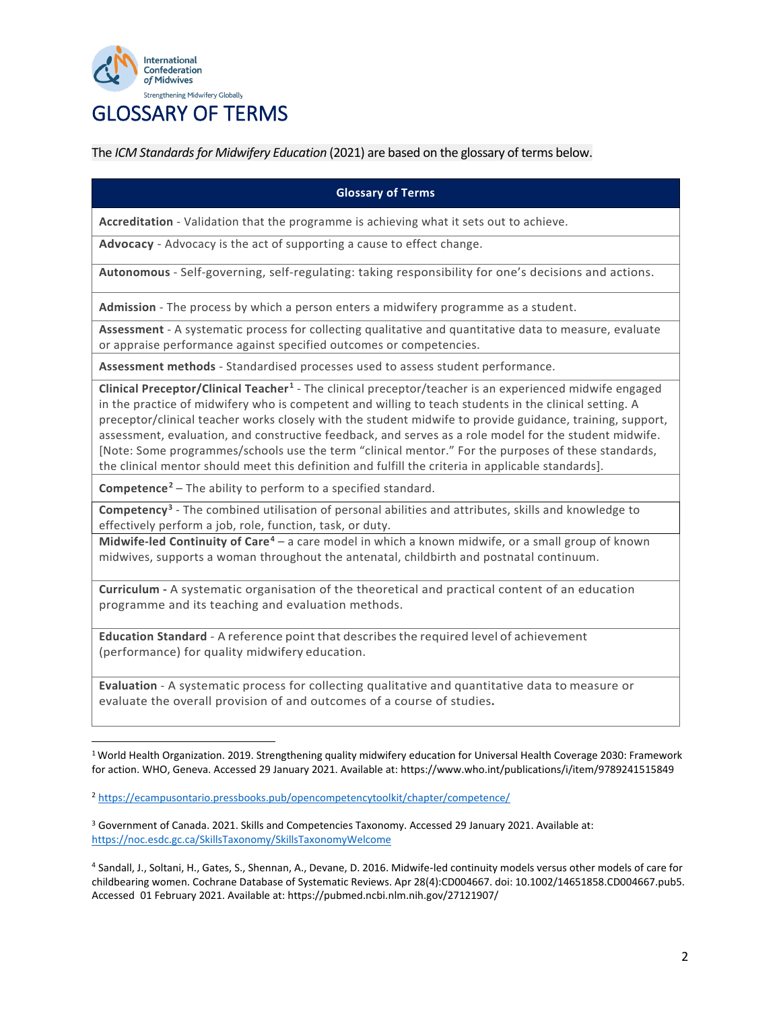

### GLOSSARY OF TERMS

The *ICM Standards for Midwifery Education* (2021) are based on the glossary of terms below.

#### **Glossary of Terms**

**Accreditation** - Validation that the programme is achieving what it sets out to achieve.

**Advocacy** - Advocacy is the act of supporting a cause to effect change.

**Autonomous** - Self-governing, self-regulating: taking responsibility for one's decisions and actions.

**Admission** - The process by which a person enters a midwifery programme as a student.

**Assessment** - A systematic process for collecting qualitative and quantitative data to measure, evaluate or appraise performance against specified outcomes or competencies.

**Assessment methods** - Standardised processes used to assess student performance.

**Clinical Preceptor/Clinical Teacher[1](#page-1-0)** - The clinical preceptor/teacher is an experienced midwife engaged in the practice of midwifery who is competent and willing to teach students in the clinical setting. A preceptor/clinical teacher works closely with the student midwife to provide guidance, training, support, assessment, evaluation, and constructive feedback, and serves as a role model for the student midwife. [Note: Some programmes/schools use the term "clinical mentor." For the purposes of these standards, the clinical mentor should meet this definition and fulfill the criteria in applicable standards].

**Competence[2](#page-1-1)** – The ability to perform to a specified standard.

**Competency[3](#page-1-2)** - The combined utilisation of personal abilities and attributes, skills and knowledge to effectively perform a job, role, function, task, or duty.

**Midwife-led Continuity of Care[4](#page-1-3)** – a care model in which a known midwife, or a small group of known midwives, supports a woman throughout the antenatal, childbirth and postnatal continuum.

**Curriculum -** A systematic organisation of the theoretical and practical content of an education programme and its teaching and evaluation methods.

**Education Standard** - A reference point that describesthe required level of achievement (performance) for quality midwifery education.

**Evaluation** - A systematic process for collecting qualitative and quantitative data to measure or evaluate the overall provision of and outcomes of a course of studies**.**

<span id="page-1-0"></span><sup>1</sup> World Health Organization. 2019. Strengthening quality midwifery education for Universal Health Coverage 2030: Framework for action. WHO, Geneva. Accessed 29 January 2021. Available at: https://www.who.int/publications/i/item/9789241515849

<span id="page-1-1"></span><sup>2</sup> <https://ecampusontario.pressbooks.pub/opencompetencytoolkit/chapter/competence/>

<span id="page-1-2"></span><sup>3</sup> Government of Canada. 2021. Skills and Competencies Taxonomy. Accessed 29 January 2021. Available at: <https://noc.esdc.gc.ca/SkillsTaxonomy/SkillsTaxonomyWelcome>

<span id="page-1-3"></span><sup>4</sup> Sandall, J., Soltani, H., Gates, S., Shennan, A., Devane, D. 2016. Midwife‐led continuity models versus other models of care for childbearing women. Cochrane Database of Systematic Reviews. Apr 28(4):CD004667. doi: 10.1002/14651858.CD004667.pub5. Accessed 01 February 2021. Available at: https://pubmed.ncbi.nlm.nih.gov/27121907/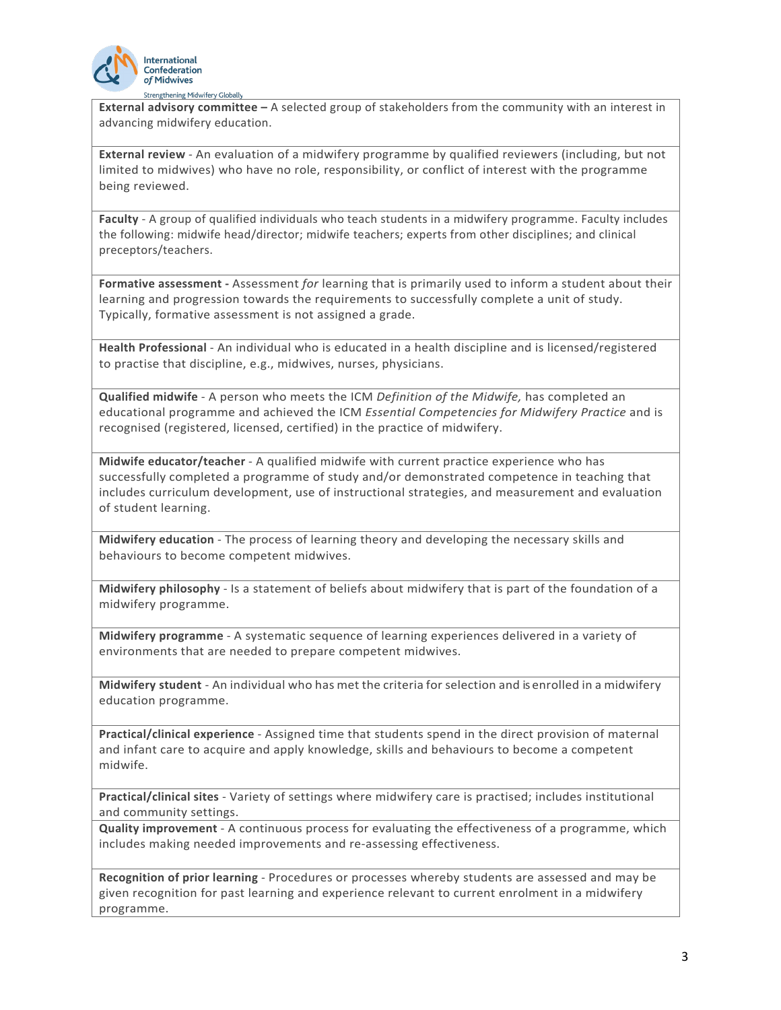

**External advisory committee –** A selected group of stakeholders from the community with an interest in advancing midwifery education.

**External review** - An evaluation of a midwifery programme by qualified reviewers (including, but not limited to midwives) who have no role, responsibility, or conflict of interest with the programme being reviewed.

**Faculty** - A group of qualified individuals who teach students in a midwifery programme. Faculty includes the following: midwife head/director; midwife teachers; experts from other disciplines; and clinical preceptors/teachers.

**Formative assessment -** Assessment *for* learning that is primarily used to inform a student about their learning and progression towards the requirements to successfully complete a unit of study. Typically, formative assessment is not assigned a grade.

**Health Professional** - An individual who is educated in a health discipline and is licensed/registered to practise that discipline, e.g., midwives, nurses, physicians.

**Qualified midwife** - A person who meets the ICM *Definition of the Midwife,* has completed an educational programme and achieved the ICM *Essential Competencies for Midwifery Practice* and is recognised (registered, licensed, certified) in the practice of midwifery.

**Midwife educator/teacher** - A qualified midwife with current practice experience who has successfully completed a programme of study and/or demonstrated competence in teaching that includes curriculum development, use of instructional strategies, and measurement and evaluation of student learning.

**Midwifery education** - The process of learning theory and developing the necessary skills and behaviours to become competent midwives.

**Midwifery philosophy** - Is a statement of beliefs about midwifery that is part of the foundation of a midwifery programme.

**Midwifery programme** - A systematic sequence of learning experiences delivered in a variety of environments that are needed to prepare competent midwives.

**Midwifery student** - An individual who has met the criteria for selection and is enrolled in a midwifery education programme.

**Practical/clinical experience** - Assigned time that students spend in the direct provision of maternal and infant care to acquire and apply knowledge, skills and behaviours to become a competent midwife.

**Practical/clinical sites** - Variety of settings where midwifery care is practised; includes institutional and community settings.

**Quality improvement** - A continuous process for evaluating the effectiveness of a programme, which includes making needed improvements and re-assessing effectiveness.

**Recognition of prior learning** - Procedures or processes whereby students are assessed and may be given recognition for past learning and experience relevant to current enrolment in a midwifery programme.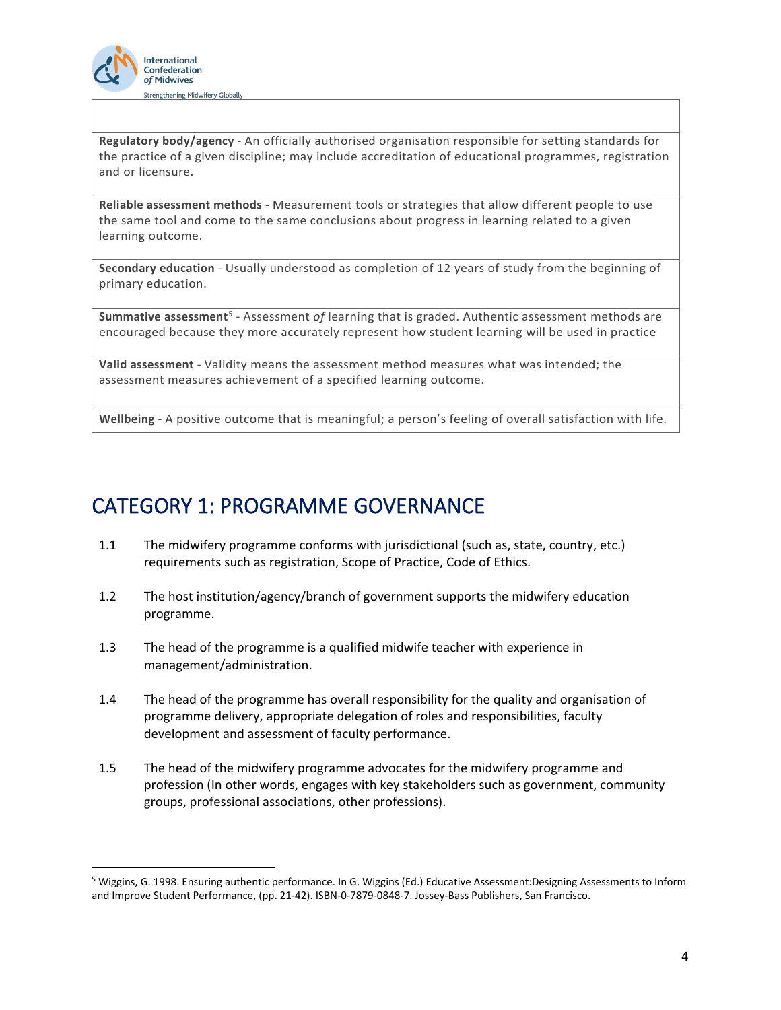

**Regulatory body/agency** - An officially authorised organisation responsible for setting standards for the practice of a given discipline; may include accreditation of educational programmes, registration and or licensure.

**Reliable assessment methods** - Measurement tools or strategies that allow different people to use the same tool and come to the same conclusions about progress in learning related to a given learning outcome.

**Secondary education** - Usually understood as completion of 12 years of study from the beginning of primary education.

**Summative assessment[5](#page-3-0)** - Assessment *of* learning that is graded. Authentic assessment methods are encouraged because they more accurately represent how student learning will be used in practice

**Valid assessment** - Validity means the assessment method measures what was intended; the assessment measures achievement of a specified learning outcome.

**Wellbeing** - A positive outcome that is meaningful; a person's feeling of overall satisfaction with life.

#### CATEGORY 1: PROGRAMME GOVERNANCE

- 1.1 The midwifery programme conforms with jurisdictional (such as, state, country, etc.) requirements such as registration, Scope of Practice, Code of Ethics.
- 1.2 The host institution/agency/branch of government supports the midwifery education programme.
- 1.3 The head of the programme is a qualified midwife teacher with experience in management/administration.
- 1.4 The head of the programme has overall responsibility for the quality and organisation of programme delivery, appropriate delegation of roles and responsibilities, faculty development and assessment of faculty performance.
- 1.5 The head of the midwifery programme advocates for the midwifery programme and profession (In other words, engages with key stakeholders such as government, community groups, professional associations, other professions).

<span id="page-3-0"></span><sup>5</sup> Wiggins, G. 1998. Ensuring authentic performance. In G. Wiggins (Ed.) Educative Assessment:Designing Assessments to Inform and Improve Student Performance, (pp. 21-42). ISBN-0-7879-0848-7. Jossey-Bass Publishers, San Francisco.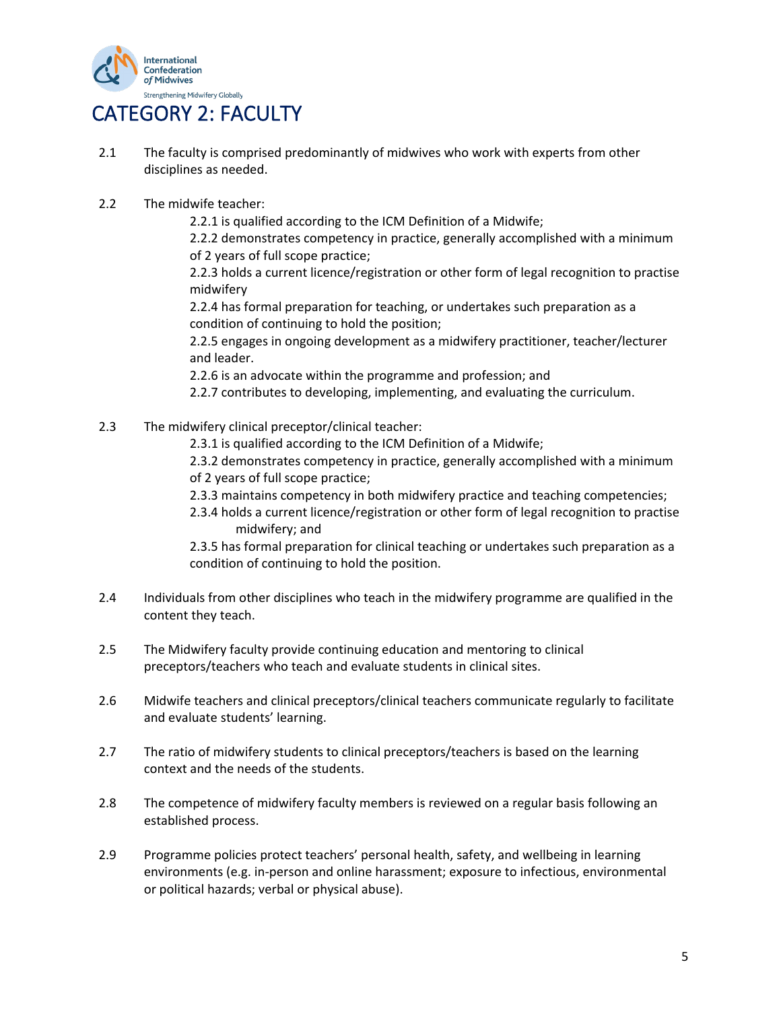

#### CATEGORY 2: FACULTY

- 2.1 The faculty is comprised predominantly of midwives who work with experts from other disciplines as needed.
- 2.2 The midwife teacher:

2.2.1 is qualified according to the ICM Definition of a Midwife;

2.2.2 demonstrates competency in practice, generally accomplished with a minimum of 2 years of full scope practice;

2.2.3 holds a current licence/registration or other form of legal recognition to practise midwifery

2.2.4 has formal preparation for teaching, or undertakes such preparation as a condition of continuing to hold the position;

2.2.5 engages in ongoing development as a midwifery practitioner, teacher/lecturer and leader.

2.2.6 is an advocate within the programme and profession; and

2.2.7 contributes to developing, implementing, and evaluating the curriculum.

- 2.3 The midwifery clinical preceptor/clinical teacher:
	- 2.3.1 is qualified according to the ICM Definition of a Midwife;

2.3.2 demonstrates competency in practice, generally accomplished with a minimum of 2 years of full scope practice;

- 2.3.3 maintains competency in both midwifery practice and teaching competencies;
- 2.3.4 holds a current licence/registration or other form of legal recognition to practise midwifery; and

2.3.5 has formal preparation for clinical teaching or undertakes such preparation as a condition of continuing to hold the position.

- 2.4 Individuals from other disciplines who teach in the midwifery programme are qualified in the content they teach.
- 2.5 The Midwifery faculty provide continuing education and mentoring to clinical preceptors/teachers who teach and evaluate students in clinical sites.
- 2.6 Midwife teachers and clinical preceptors/clinical teachers communicate regularly to facilitate and evaluate students' learning.
- 2.7 The ratio of midwifery students to clinical preceptors/teachers is based on the learning context and the needs of the students.
- 2.8 The competence of midwifery faculty members is reviewed on a regular basis following an established process.
- 2.9 Programme policies protect teachers' personal health, safety, and wellbeing in learning environments (e.g. in-person and online harassment; exposure to infectious, environmental or political hazards; verbal or physical abuse).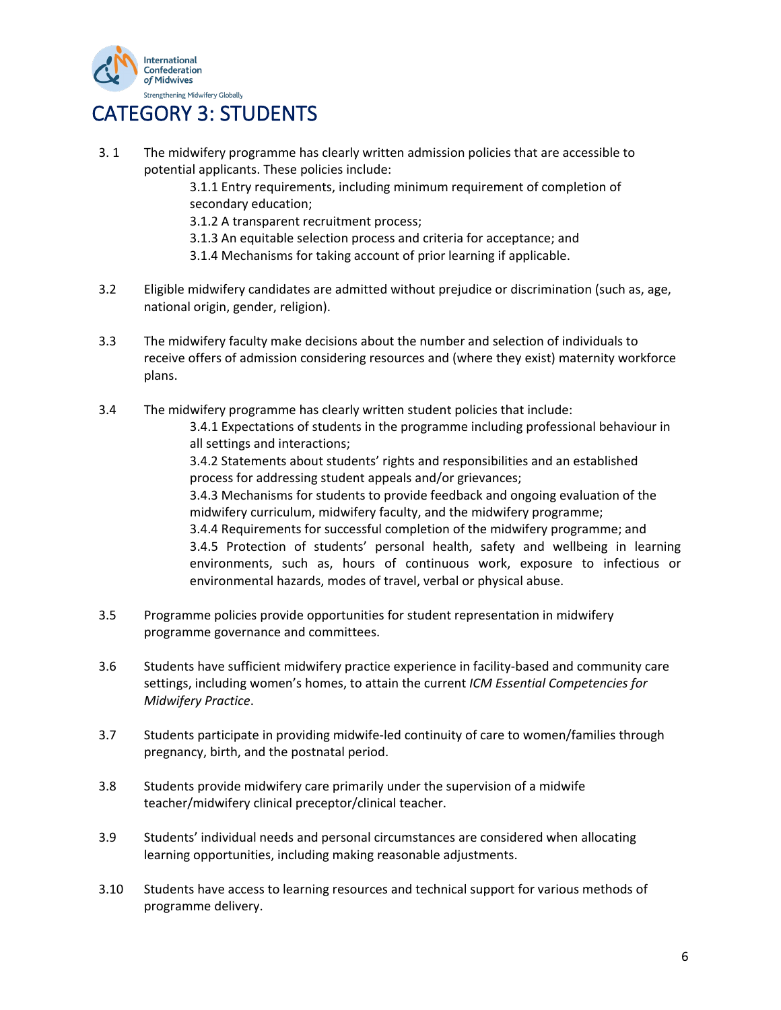

## CATEGORY 3: STUDENTS

3. 1 The midwifery programme has clearly written admission policies that are accessible to potential applicants. These policies include: 3.1.1 Entry requirements, including minimum requirement of completion of secondary education; 3.1.2 A transparent recruitment process; 3.1.3 An equitable selection process and criteria for acceptance; and 3.1.4 Mechanisms for taking account of prior learning if applicable. 3.2 Eligible midwifery candidates are admitted without prejudice or discrimination (such as, age, national origin, gender, religion).

- 3.3 The midwifery faculty make decisions about the number and selection of individuals to receive offers of admission considering resources and (where they exist) maternity workforce plans.
- 3.4 The midwifery programme has clearly written student policies that include: 3.4.1 Expectations of students in the programme including professional behaviour in
	- all settings and interactions;

3.4.2 Statements about students' rights and responsibilities and an established process for addressing student appeals and/or grievances;

3.4.3 Mechanisms for students to provide feedback and ongoing evaluation of the midwifery curriculum, midwifery faculty, and the midwifery programme;

3.4.4 Requirements for successful completion of the midwifery programme; and 3.4.5 Protection of students' personal health, safety and wellbeing in learning environments, such as, hours of continuous work, exposure to infectious or environmental hazards, modes of travel, verbal or physical abuse.

- 3.5 Programme policies provide opportunities for student representation in midwifery programme governance and committees.
- 3.6 Students have sufficient midwifery practice experience in facility-based and community care settings, including women's homes, to attain the current *ICM Essential Competencies for Midwifery Practice*.
- 3.7 Students participate in providing midwife-led continuity of care to women/families through pregnancy, birth, and the postnatal period.
- 3.8 Students provide midwifery care primarily under the supervision of a midwife teacher/midwifery clinical preceptor/clinical teacher.
- 3.9 Students' individual needs and personal circumstances are considered when allocating learning opportunities, including making reasonable adjustments.
- 3.10 Students have access to learning resources and technical support for various methods of programme delivery.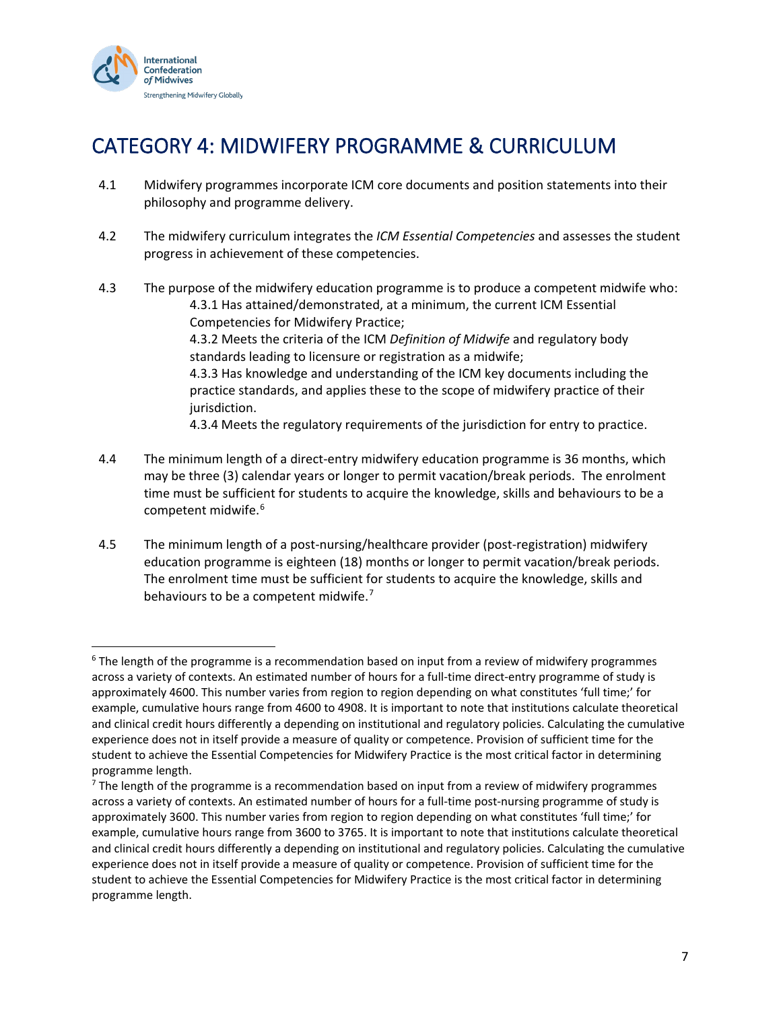

# CATEGORY 4: MIDWIFERY PROGRAMME & CURRICULUM

- 4.1 Midwifery programmes incorporate ICM core documents and position statements into their philosophy and programme delivery.
- 4.2 The midwifery curriculum integrates the *ICM Essential Competencies* and assesses the student progress in achievement of these competencies.
- 4.3 The purpose of the midwifery education programme is to produce a competent midwife who: 4.3.1 Has attained/demonstrated, at a minimum, the current ICM Essential Competencies for Midwifery Practice; 4.3.2 Meets the criteria of the ICM *Definition of Midwife* and regulatory body standards leading to licensure or registration as a midwife; 4.3.3 Has knowledge and understanding of the ICM key documents including the practice standards, and applies these to the scope of midwifery practice of their jurisdiction. 4.3.4 Meets the regulatory requirements of the jurisdiction for entry to practice.
- 4.4 The minimum length of a direct-entry midwifery education programme is 36 months, which may be three (3) calendar years or longer to permit vacation/break periods. The enrolment time must be sufficient for students to acquire the knowledge, skills and behaviours to be a competent midwife.[6](#page-6-0)
- 4.5 The minimum length of a post-nursing/healthcare provider (post-registration) midwifery education programme is eighteen (18) months or longer to permit vacation/break periods. The enrolment time must be sufficient for students to acquire the knowledge, skills and behaviours to be a competent midwife.<sup>[7](#page-6-1)</sup>

<span id="page-6-0"></span> $6$  The length of the programme is a recommendation based on input from a review of midwifery programmes across a variety of contexts. An estimated number of hours for a full-time direct-entry programme of study is approximately 4600. This number varies from region to region depending on what constitutes 'full time;' for example, cumulative hours range from 4600 to 4908. It is important to note that institutions calculate theoretical and clinical credit hours differently a depending on institutional and regulatory policies. Calculating the cumulative experience does not in itself provide a measure of quality or competence. Provision of sufficient time for the student to achieve the Essential Competencies for Midwifery Practice is the most critical factor in determining programme length.<br><sup>7</sup> The length of the programme is a recommendation based on input from a review of midwifery programmes

<span id="page-6-1"></span>across a variety of contexts. An estimated number of hours for a full-time post-nursing programme of study is approximately 3600. This number varies from region to region depending on what constitutes 'full time;' for example, cumulative hours range from 3600 to 3765. It is important to note that institutions calculate theoretical and clinical credit hours differently a depending on institutional and regulatory policies. Calculating the cumulative experience does not in itself provide a measure of quality or competence. Provision of sufficient time for the student to achieve the Essential Competencies for Midwifery Practice is the most critical factor in determining programme length.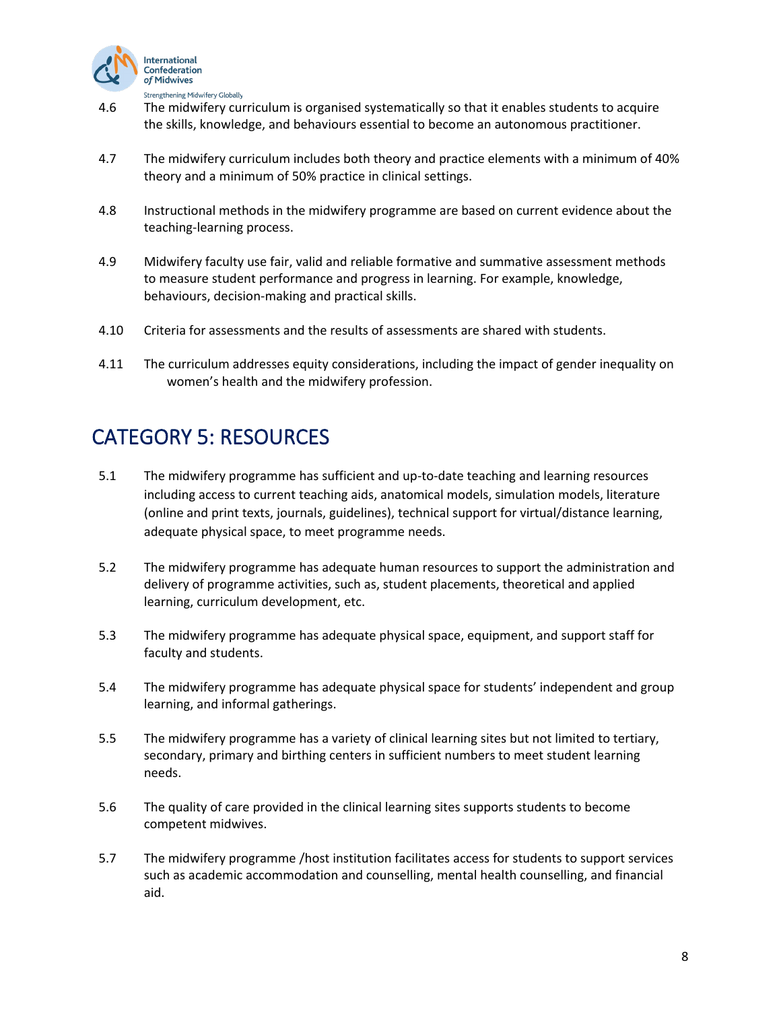

- 4.6 The midwifery curriculum is organised systematically so that it enables students to acquire the skills, knowledge, and behaviours essential to become an autonomous practitioner.
- 4.7 The midwifery curriculum includes both theory and practice elements with a minimum of 40% theory and a minimum of 50% practice in clinical settings.
- 4.8 Instructional methods in the midwifery programme are based on current evidence about the teaching-learning process.
- 4.9 Midwifery faculty use fair, valid and reliable formative and summative assessment methods to measure student performance and progress in learning. For example, knowledge, behaviours, decision-making and practical skills.
- 4.10 Criteria for assessments and the results of assessments are shared with students.
- 4.11 The curriculum addresses equity considerations, including the impact of gender inequality on women's health and the midwifery profession.

#### CATEGORY 5: RESOURCES

- 5.1 The midwifery programme has sufficient and up-to-date teaching and learning resources including access to current teaching aids, anatomical models, simulation models, literature (online and print texts, journals, guidelines), technical support for virtual/distance learning, adequate physical space, to meet programme needs.
- 5.2 The midwifery programme has adequate human resources to support the administration and delivery of programme activities, such as, student placements, theoretical and applied learning, curriculum development, etc.
- 5.3 The midwifery programme has adequate physical space, equipment, and support staff for faculty and students.
- 5.4 The midwifery programme has adequate physical space for students' independent and group learning, and informal gatherings.
- 5.5 The midwifery programme has a variety of clinical learning sites but not limited to tertiary, secondary, primary and birthing centers in sufficient numbers to meet student learning needs.
- 5.6 The quality of care provided in the clinical learning sites supports students to become competent midwives.
- 5.7 The midwifery programme /host institution facilitates access for students to support services such as academic accommodation and counselling, mental health counselling, and financial aid.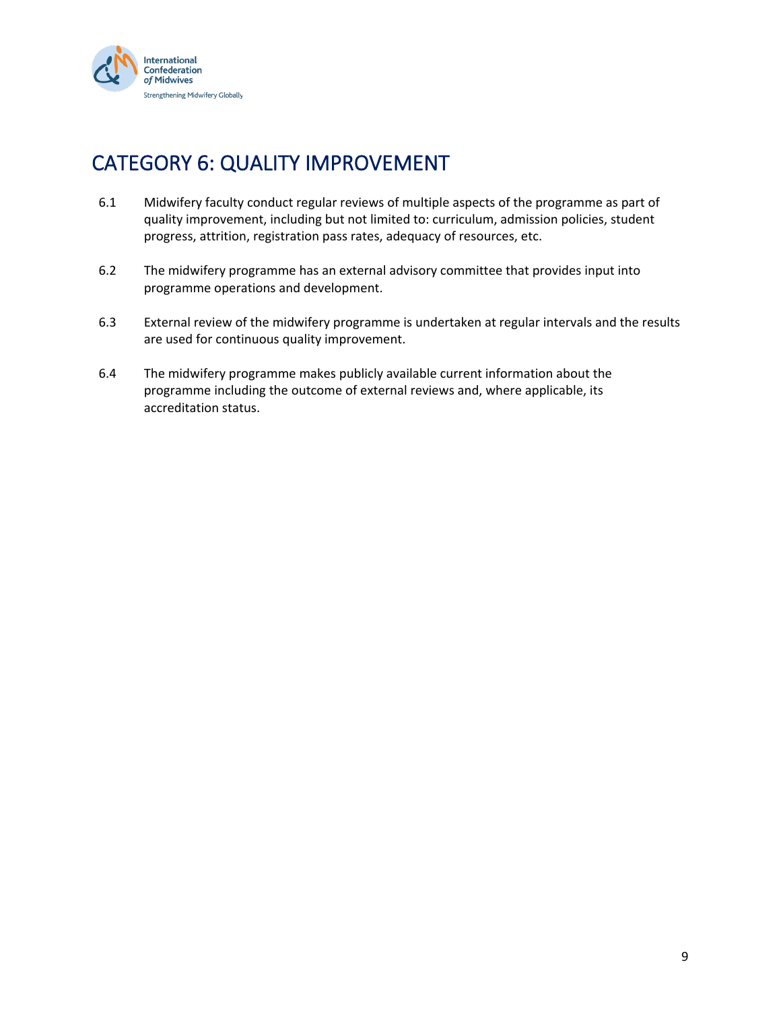

# CATEGORY 6: QUALITY IMPROVEMENT

- 6.1 Midwifery faculty conduct regular reviews of multiple aspects of the programme as part of quality improvement, including but not limited to: curriculum, admission policies, student progress, attrition, registration pass rates, adequacy of resources, etc.
- 6.2 The midwifery programme has an external advisory committee that provides input into programme operations and development.
- 6.3 External review of the midwifery programme is undertaken at regular intervals and the results are used for continuous quality improvement.
- 6.4 The midwifery programme makes publicly available current information about the programme including the outcome of external reviews and, where applicable, its accreditation status.